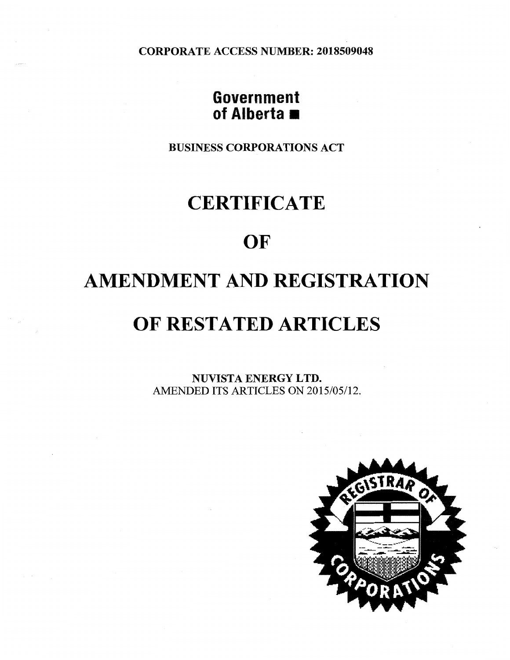CORPORATE ACCESS NUMBER: 2018509048

## **Government of Alberta**

BUSINESS CORPORATIONS ACT

# **CERTIFICATE**

## **OF**

# **AMENDMENT AND REGISTRATION**

# **OF RESTATED ARTICLES**

NUVISTA ENERGY LTD. AMENDED ITS ARTICLES ON 2015/05/12.

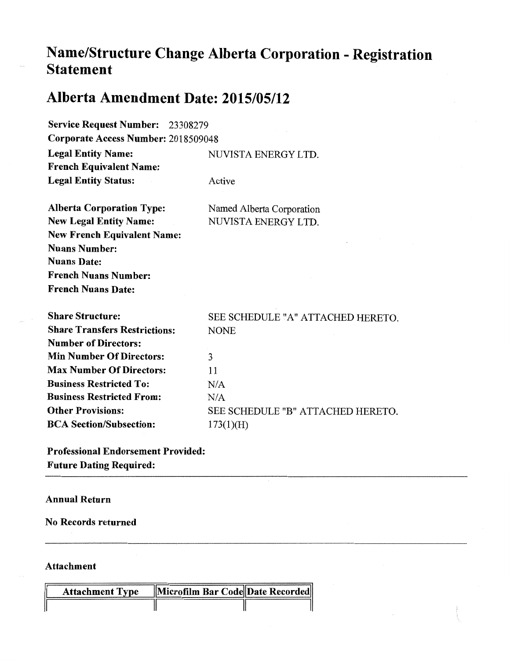## **Name/Structure Change Alberta Corporation - Registration Statement**

## **Alberta Amendment Date: 2015/05/12**

| <b>Service Request Number: 23308279</b> |                                   |  |
|-----------------------------------------|-----------------------------------|--|
| Corporate Access Number: 2018509048     |                                   |  |
| <b>Legal Entity Name:</b>               | NUVISTA ENERGY LTD.               |  |
| <b>French Equivalent Name:</b>          |                                   |  |
| <b>Legal Entity Status:</b>             | Active                            |  |
| <b>Alberta Corporation Type:</b>        | Named Alberta Corporation         |  |
| <b>New Legal Entity Name:</b>           | NUVISTA ENERGY LTD.               |  |
| <b>New French Equivalent Name:</b>      |                                   |  |
| <b>Nuans Number:</b>                    |                                   |  |
| <b>Nuans Date:</b>                      |                                   |  |
| <b>French Nuans Number:</b>             |                                   |  |
| <b>French Nuans Date:</b>               |                                   |  |
| <b>Share Structure:</b>                 | SEE SCHEDULE "A" ATTACHED HERETO. |  |
| <b>Share Transfers Restrictions:</b>    | <b>NONE</b>                       |  |
| <b>Number of Directors:</b>             |                                   |  |
| <b>Min Number Of Directors:</b>         | 3                                 |  |
| <b>Max Number Of Directors:</b>         | 11                                |  |
| <b>Business Restricted To:</b>          | N/A                               |  |
| <b>Business Restricted From:</b>        | N/A                               |  |
| <b>Other Provisions:</b>                | SEE SCHEDULE "B" ATTACHED HERETO. |  |
| <b>BCA Section/Subsection:</b>          | 173(1)(H)                         |  |

Professional Endorsement Provided: Future Dating Required:

### Annual Return

No Records returned

### Attachment

| <b>Attachment Type</b> | Microfilm Bar Code Date Recorded |  |
|------------------------|----------------------------------|--|
|                        |                                  |  |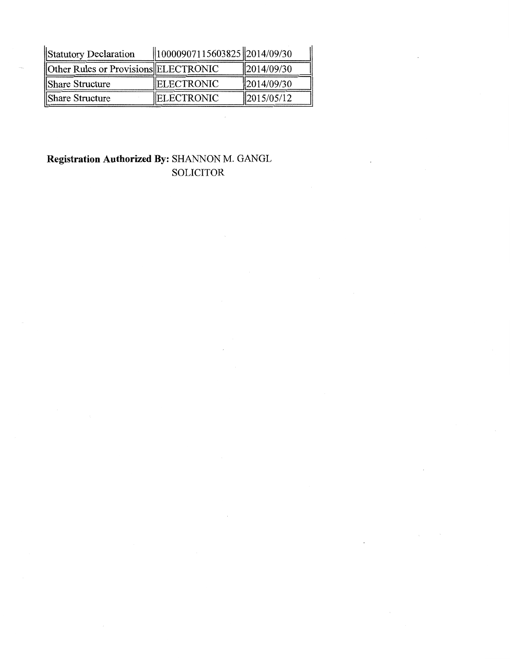| Statutory Declaration                | $\ 10000907115603825\ 2014/09/30$ |                        |
|--------------------------------------|-----------------------------------|------------------------|
| Other Rules or Provisions ELECTRONIC |                                   | $\parallel$ 2014/09/30 |
| Share Structure                      | <b>IELECTRONIC</b>                | $\parallel$ 2014/09/30 |
| Share Structure                      | <b>IELECTRONIC</b>                | $\frac{2015}{05/12}$   |

### **Registration Authorized By:** SHANNON M. GANGL SOLICITOR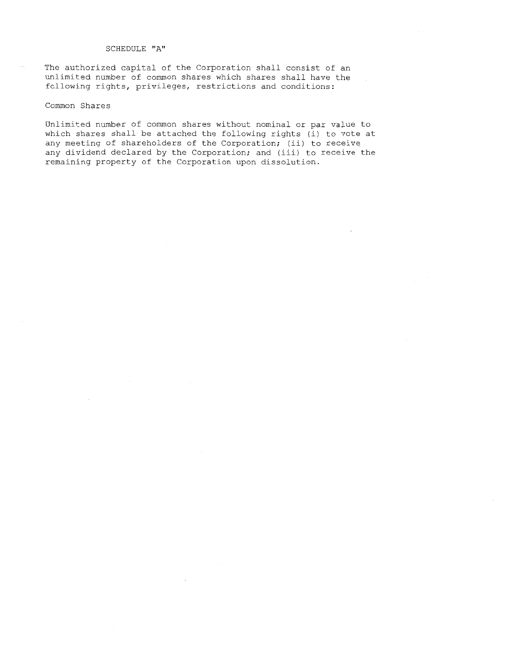#### SCHEDULE "A"

The authorized capital of the Corporation shall consist of an unlimited number of common shares which shares shall have the following rights, privileges, restrictions and conditions:

#### Common Shares

Unlimited number of common shares without nominal or par value to which shares shall be attached the following rights (i) to vote at any meeting of shareholders of the Corporation; (ii) to receive any dividend declared by the Corporation; and (iii) to receive the remaining property of the Corporation upon dissolution.